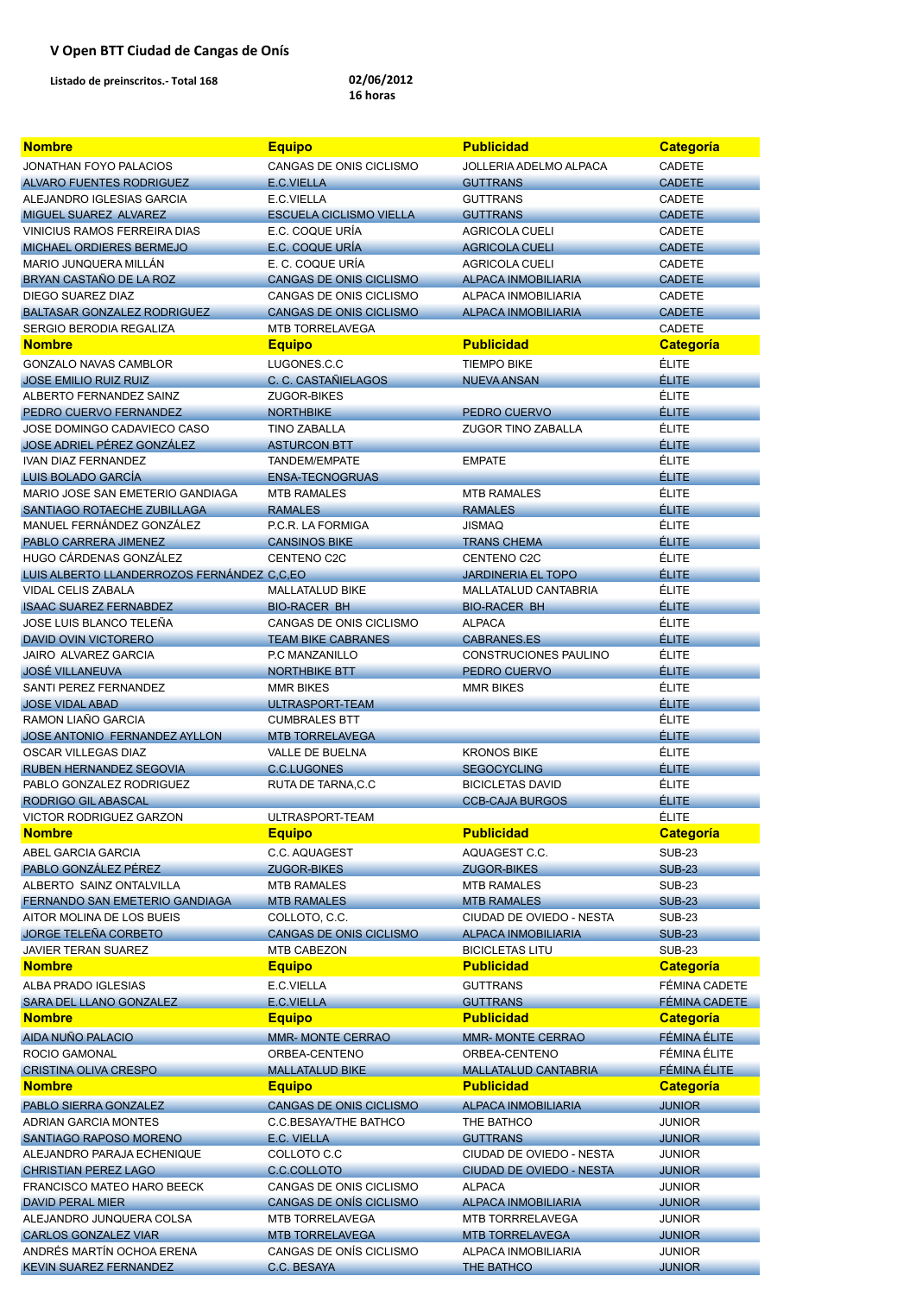| <b>Nombre</b>                                             | <b>Equipo</b>                                             | <b>Publicidad</b>                                    | <b>Categoría</b>               |
|-----------------------------------------------------------|-----------------------------------------------------------|------------------------------------------------------|--------------------------------|
| <b>JONATHAN FOYO PALACIOS</b>                             | CANGAS DE ONIS CICLISMO                                   | <b>JOLLERIA ADELMO ALPACA</b>                        | <b>CADETE</b>                  |
| ALVARO FUENTES RODRIGUEZ                                  | E.C.VIELLA                                                | <b>GUTTRANS</b>                                      | <b>CADETE</b>                  |
| ALEJANDRO IGLESIAS GARCIA                                 | E.C.VIELLA                                                | <b>GUTTRANS</b>                                      | <b>CADETE</b>                  |
| MIGUEL SUAREZ ALVAREZ                                     | <b>ESCUELA CICLISMO VIELLA</b>                            | <b>GUTTRANS</b>                                      | <b>CADETE</b>                  |
| VINICIUS RAMOS FERREIRA DIAS                              | E.C. COQUE URÍA                                           | <b>AGRICOLA CUELI</b>                                | <b>CADETE</b>                  |
| <b>MICHAEL ORDIERES BERMEJO</b>                           | E.C. COQUE URÍA                                           | <b>AGRICOLA CUELI</b>                                | <b>CADETE</b>                  |
| MARIO JUNQUERA MILLÁN                                     | E. C. COQUE URÍA                                          | <b>AGRICOLA CUELI</b>                                | <b>CADETE</b>                  |
| BRYAN CASTAÑO DE LA ROZ                                   | <b>CANGAS DE ONIS CICLISMO</b>                            | <b>ALPACA INMOBILIARIA</b>                           | <b>CADETE</b>                  |
| DIEGO SUAREZ DIAZ                                         | CANGAS DE ONIS CICLISMO                                   | ALPACA INMOBILIARIA                                  | <b>CADETE</b>                  |
| <b>BALTASAR GONZALEZ RODRIGUEZ</b>                        | <b>CANGAS DE ONIS CICLISMO</b>                            | <b>ALPACA INMOBILIARIA</b>                           | <b>CADETE</b>                  |
| SERGIO BERODIA REGALIZA                                   | MTB TORRELAVEGA                                           |                                                      | <b>CADETE</b>                  |
| <b>Nombre</b>                                             | <b>Equipo</b>                                             | <b>Publicidad</b>                                    | <b>Categoría</b>               |
| <b>GONZALO NAVAS CAMBLOR</b>                              | LUGONES.C.C                                               | <b>TIEMPO BIKE</b>                                   | <b>ÉLITE</b>                   |
| <b>JOSE EMILIO RUIZ RUIZ</b>                              | C. C. CASTAÑIELAGOS                                       | <b>NUEVA ANSAN</b>                                   | <b>ÉLITE</b>                   |
| ALBERTO FERNANDEZ SAINZ                                   | ZUGOR-BIKES                                               |                                                      | <b>ÉLITE</b>                   |
| PEDRO CUERVO FERNANDEZ<br>JOSE DOMINGO CADAVIECO CASO     | <b>NORTHBIKE</b><br><b>TINO ZABALLA</b>                   | PEDRO CUERVO<br><b>ZUGOR TINO ZABALLA</b>            | <b>ÉLITE</b><br><b>ÉLITE</b>   |
| JOSE ADRIEL PÉREZ GONZÁLEZ                                | <b>ASTURCON BTT</b>                                       |                                                      | <b>ÉLITE</b>                   |
| <b>IVAN DIAZ FERNANDEZ</b>                                | TANDEM/EMPATE                                             | <b>EMPATE</b>                                        | <b>ÉLITE</b>                   |
| LUIS BOLADO GARCÍA                                        | <b>ENSA-TECNOGRUAS</b>                                    |                                                      | <b>ÉLITE</b>                   |
| MARIO JOSE SAN EMETERIO GANDIAGA                          | <b>MTB RAMALES</b>                                        | <b>MTB RAMALES</b>                                   | <b>ÉLITE</b>                   |
| SANTIAGO ROTAECHE ZUBILLAGA                               | <b>RAMALES</b>                                            | <b>RAMALES</b>                                       | <b>ÉLITE</b>                   |
| MANUEL FERNÁNDEZ GONZÁLEZ                                 | P.C.R. LA FORMIGA                                         | <b>JISMAQ</b>                                        | <b>ÉLITE</b>                   |
| PABLO CARRERA JIMENEZ                                     | <b>CANSINOS BIKE</b>                                      | <b>TRANS CHEMA</b>                                   | <b>ÉLITE</b>                   |
| HUGO CÁRDENAS GONZÁLEZ                                    | CENTENO C2C                                               | CENTENO C2C                                          | <b>ÉLITE</b>                   |
| LUIS ALBERTO LLANDERROZOS FERNÁNDEZ C.C.EO                |                                                           | <b>JARDINERIA EL TOPO</b>                            | <b>ÉLITE</b>                   |
| <b>VIDAL CELIS ZABALA</b>                                 | <b>MALLATALUD BIKE</b>                                    | MALLATALUD CANTABRIA                                 | <b>ÉLITE</b>                   |
| <b>ISAAC SUAREZ FERNABDEZ</b>                             | <b>BIO-RACER BH</b>                                       | <b>BIO-RACER BH</b>                                  | <b>ÉLITE</b>                   |
| JOSE LUIS BLANCO TELEÑA                                   | CANGAS DE ONIS CICLISMO                                   | <b>ALPACA</b>                                        | <b>ÉLITE</b>                   |
| <b>DAVID OVIN VICTORERO</b>                               | <b>TEAM BIKE CABRANES</b>                                 | <b>CABRANES.ES</b>                                   | <b>ÉLITE</b>                   |
| JAIRO ALVAREZ GARCIA                                      | P.C MANZANILLO                                            | <b>CONSTRUCIONES PAULINO</b>                         | <b>ÉLITE</b>                   |
| <b>JOSÉ VILLANEUVA</b>                                    | <b>NORTHBIKE BTT</b>                                      | PEDRO CUERVO                                         | <b>ÉLITE</b>                   |
| SANTI PEREZ FERNANDEZ                                     | <b>MMR BIKES</b>                                          | <b>MMR BIKES</b>                                     | <b>ÉLITE</b>                   |
| <b>JOSE VIDAL ABAD</b>                                    | ULTRASPORT-TEAM                                           |                                                      | <b>ÉLITE</b>                   |
| RAMON LIAÑO GARCIA                                        | <b>CUMBRALES BTT</b>                                      |                                                      | <b>ÉLITE</b>                   |
| JOSE ANTONIO FERNANDEZ AYLLON                             | <b>MTB TORRELAVEGA</b>                                    |                                                      | <b>ÉLITE</b>                   |
| <b>OSCAR VILLEGAS DIAZ</b>                                | <b>VALLE DE BUELNA</b>                                    | <b>KRONOS BIKE</b>                                   | <b>ÉLITE</b>                   |
| RUBEN HERNANDEZ SEGOVIA                                   | <b>C.C.LUGONES</b>                                        | <b>SEGOCYCLING</b>                                   | <b>ÉLITE</b>                   |
| PABLO GONZALEZ RODRIGUEZ                                  | RUTA DE TARNA, C.C                                        | <b>BICICLETAS DAVID</b>                              | <b>ÉLITE</b>                   |
| <b>RODRIGO GIL ABASCAL</b>                                |                                                           | <b>CCB-CAJA BURGOS</b>                               | <b>ÉLITE</b>                   |
| <b>VICTOR RODRIGUEZ GARZON</b>                            | ULTRASPORT-TEAM                                           |                                                      | <b>ÉLITE</b>                   |
| <b>Nombre</b>                                             | <b>Equipo</b>                                             | <b>Publicidad</b>                                    | <b>Categoría</b>               |
| <b>ABEL GARCIA GARCIA</b>                                 | C.C. AQUAGEST                                             | AQUAGEST C.C.                                        | <b>SUB-23</b>                  |
| PABLO GONZÁLEZ PÉREZ                                      | <b>ZUGOR-BIKES</b>                                        | <b>ZUGOR-BIKES</b>                                   | <b>SUB-23</b>                  |
| ALBERTO SAINZ ONTALVILLA                                  | <b>MTB RAMALES</b>                                        | <b>MTB RAMALES</b>                                   | <b>SUB-23</b>                  |
| FERNANDO SAN EMETERIO GANDIAGA                            | <b>MTB RAMALES</b>                                        | <b>MTB RAMALES</b>                                   | <b>SUB-23</b>                  |
| AITOR MOLINA DE LOS BUEIS                                 | COLLOTO, C.C.                                             | CIUDAD DE OVIEDO - NESTA                             | <b>SUB-23</b>                  |
| <b>JORGE TELEÑA CORBETO</b><br><b>JAVIER TERAN SUAREZ</b> | <b>CANGAS DE ONIS CICLISMO</b><br><b>MTB CABEZON</b>      | <b>ALPACA INMOBILIARIA</b><br><b>BICICLETAS LITU</b> | <b>SUB-23</b><br><b>SUB-23</b> |
| <b>Nombre</b>                                             | <b>Equipo</b>                                             | <b>Publicidad</b>                                    | <b>Categoría</b>               |
|                                                           |                                                           |                                                      |                                |
| ALBA PRADO IGLESIAS                                       | E.C.VIELLA                                                | <b>GUTTRANS</b>                                      | FÉMINA CADETE                  |
| SARA DEL LLANO GONZALEZ<br><b>Nombre</b>                  | E.C.VIELLA                                                | <b>GUTTRANS</b><br><b>Publicidad</b>                 | FÉMINA CADETE                  |
|                                                           | <b>Equipo</b>                                             |                                                      | <b>Categoría</b>               |
| <b>AIDA NUÑO PALACIO</b>                                  | <b>MMR- MONTE CERRAO</b>                                  | <b>MMR- MONTE CERRAO</b>                             | <b>FÉMINA ÉLITE</b>            |
| <b>ROCIO GAMONAL</b>                                      | ORBEA-CENTENO                                             | ORBEA-CENTENO                                        | FÉMINA ÉLITE                   |
| <b>CRISTINA OLIVA CRESPO</b>                              | <b>MALLATALUD BIKE</b>                                    | <b>MALLATALUD CANTABRIA</b>                          | <b>FÉMINA ÉLITE</b>            |
| <b>Nombre</b>                                             | <b>Equipo</b>                                             | <b>Publicidad</b>                                    | <b>Categoría</b>               |
| PABLO SIERRA GONZALEZ                                     | <b>CANGAS DE ONIS CICLISMO</b>                            | <b>ALPACA INMOBILIARIA</b>                           | <b>JUNIOR</b>                  |
| <b>ADRIAN GARCIA MONTES</b>                               | <b>C.C.BESAYA/THE BATHCO</b>                              | THE BATHCO                                           | <b>JUNIOR</b>                  |
| <b>SANTIAGO RAPOSO MORENO</b>                             | E.C. VIELLA                                               | <b>GUTTRANS</b>                                      | <b>JUNIOR</b>                  |
| ALEJANDRO PARAJA ECHENIQUE                                | COLLOTO C.C                                               | CIUDAD DE OVIEDO - NESTA                             | <b>JUNIOR</b>                  |
| <b>CHRISTIAN PEREZ LAGO</b>                               | C.C.COLLOTO                                               | <b>CIUDAD DE OVIEDO - NESTA</b>                      | <b>JUNIOR</b>                  |
| <b>FRANCISCO MATEO HARO BEECK</b>                         | CANGAS DE ONIS CICLISMO<br><b>CANGAS DE ONÍS CICLISMO</b> | <b>ALPACA</b>                                        | <b>JUNIOR</b>                  |
| DAVID PERAL MIER<br>ALEJANDRO JUNQUERA COLSA              | <b>MTB TORRELAVEGA</b>                                    | <b>ALPACA INMOBILIARIA</b><br>MTB TORRRELAVEGA       | <b>JUNIOR</b><br><b>JUNIOR</b> |
| <b>CARLOS GONZALEZ VIAR</b>                               | <b>MTB TORRELAVEGA</b>                                    | <b>MTB TORRELAVEGA</b>                               | <b>JUNIOR</b>                  |
| ANDRÉS MARTÍN OCHOA ERENA                                 | CANGAS DE ONÍS CICLISMO                                   | ALPACA INMOBILIARIA                                  | <b>JUNIOR</b>                  |
| <b>KEVIN SUAREZ FERNANDEZ</b>                             | C.C. BESAYA                                               | THE BATHCO                                           | <b>JUNIOR</b>                  |
|                                                           |                                                           |                                                      |                                |

## **V Open BTT Ciudad de Cangas de Onís**

**Listado de preinscritos.‐ Total 168 02/06/2012** 

## **16 horas**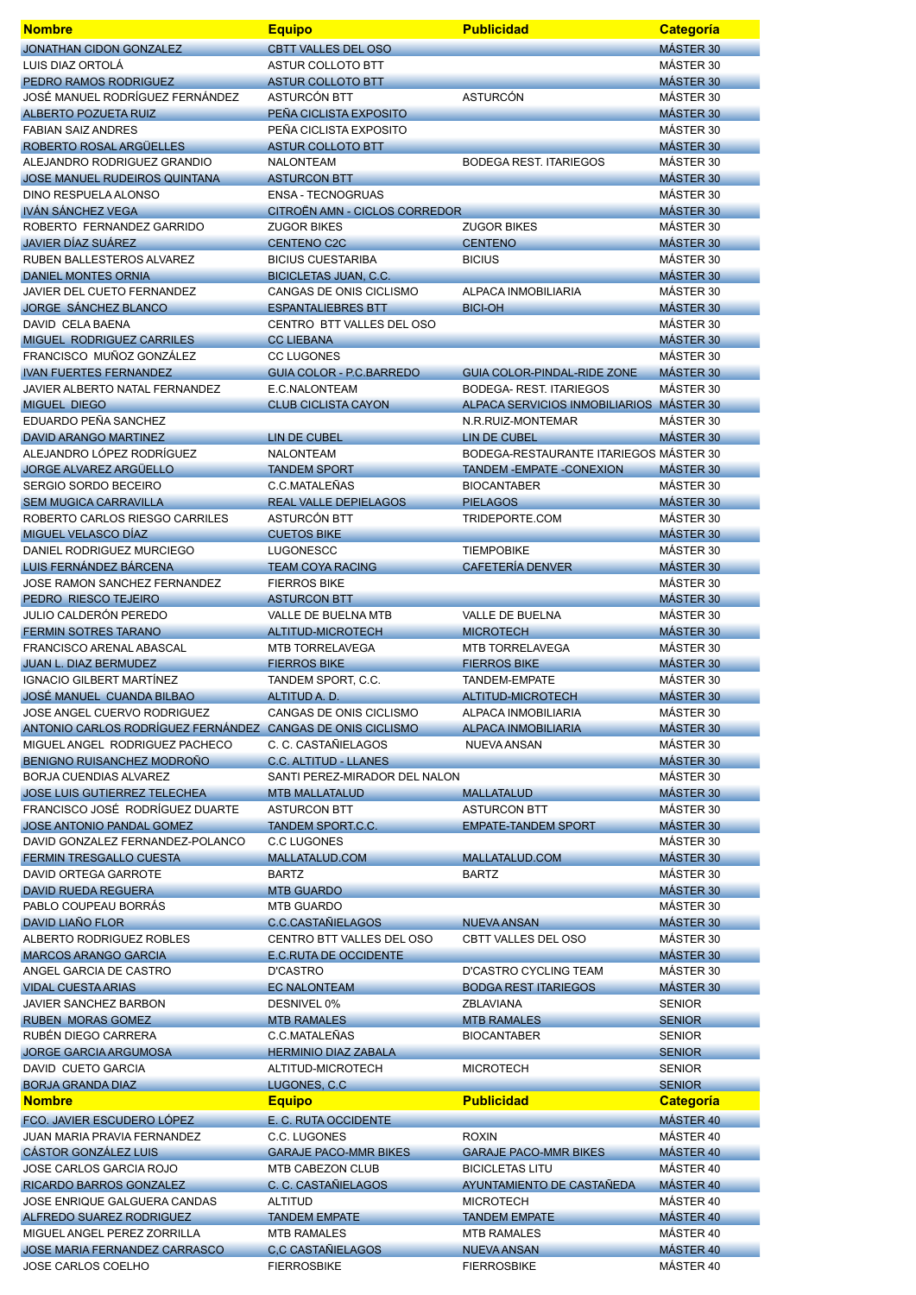| <b>Nombre</b>                                               | <b>Equipo</b>                                                 | <b>Publicidad</b>                                           | Categoría                         |
|-------------------------------------------------------------|---------------------------------------------------------------|-------------------------------------------------------------|-----------------------------------|
| <b>JONATHAN CIDON GONZALEZ</b>                              | <b>CBTT VALLES DEL OSO</b>                                    |                                                             | MÁSTER 30                         |
| LUIS DIAZ ORTOLÁ                                            | <b>ASTUR COLLOTO BTT</b>                                      |                                                             | MÁSTER 30                         |
| PEDRO RAMOS RODRIGUEZ<br>JOSÉ MANUEL RODRÍGUEZ FERNÁNDEZ    | <b>ASTUR COLLOTO BTT</b><br>ASTURCÓN BTT                      | <b>ASTURCÓN</b>                                             | MÁSTER 30<br>MÁSTER 30            |
| <b>ALBERTO POZUETA RUIZ</b>                                 | PEÑA CICLISTA EXPOSITO                                        |                                                             | MÁSTER 30                         |
| <b>FABIAN SAIZ ANDRES</b>                                   | PEÑA CICLISTA EXPOSITO                                        |                                                             | MÁSTER 30                         |
| ROBERTO ROSAL ARGÜELLES                                     | <b>ASTUR COLLOTO BTT</b>                                      |                                                             | MÁSTER 30                         |
| ALEJANDRO RODRIGUEZ GRANDIO                                 | <b>NALONTEAM</b>                                              | <b>BODEGA REST. ITARIEGOS</b>                               | MÁSTER 30                         |
| <b>JOSE MANUEL RUDEIROS QUINTANA</b>                        | <b>ASTURCON BTT</b>                                           |                                                             | MÁSTER 30                         |
| <b>DINO RESPUELA ALONSO</b><br><b>IVÁN SÁNCHEZ VEGA</b>     | <b>ENSA - TECNOGRUAS</b><br>CITROËN AMN - CICLOS CORREDOR     |                                                             | MÁSTER 30<br>MÁSTER 30            |
| ROBERTO FERNANDEZ GARRIDO                                   | <b>ZUGOR BIKES</b>                                            | <b>ZUGOR BIKES</b>                                          | MÁSTER 30                         |
| <b>JAVIER DÍAZ SUÁREZ</b>                                   | <b>CENTENO C2C</b>                                            | <b>CENTENO</b>                                              | MÁSTER 30                         |
| RUBEN BALLESTEROS ALVAREZ                                   | <b>BICIUS CUESTARIBA</b>                                      | <b>BICIUS</b>                                               | MÁSTER 30                         |
| <b>DANIEL MONTES ORNIA</b>                                  | <b>BICICLETAS JUAN, C.C.</b>                                  |                                                             | MÁSTER 30                         |
| JAVIER DEL CUETO FERNANDEZ                                  | CANGAS DE ONIS CICLISMO                                       | ALPACA INMOBILIARIA                                         | MÁSTER 30                         |
| <b>JORGE SÁNCHEZ BLANCO</b><br>DAVID CELA BAENA             | <b>ESPANTALIEBRES BTT</b><br>CENTRO BTT VALLES DEL OSO        | <b>BICI-OH</b>                                              | MÁSTER 30<br>MÁSTER 30            |
| MIGUEL RODRIGUEZ CARRILES                                   | <b>CC LIEBANA</b>                                             |                                                             | MÁSTER 30                         |
| FRANCISCO MUÑOZ GONZÁLEZ                                    | <b>CC LUGONES</b>                                             |                                                             | MÁSTER 30                         |
| <b>IVAN FUERTES FERNANDEZ</b>                               | <b>GUIA COLOR - P.C.BARREDO</b>                               | <b>GUIA COLOR-PINDAL-RIDE ZONE</b>                          | MÁSTER 30                         |
| JAVIER ALBERTO NATAL FERNANDEZ                              | E.C.NALONTEAM                                                 | <b>BODEGA- REST. ITARIEGOS</b>                              | MÁSTER 30                         |
| <b>MIGUEL DIEGO</b>                                         | <b>CLUB CICLISTA CAYON</b>                                    | <b>ALPACA SERVICIOS INMOBILIARIOS</b>                       | MÁSTER 30                         |
| EDUARDO PEÑA SANCHEZ<br><b>DAVID ARANGO MARTINEZ</b>        | <b>LIN DE CUBEL</b>                                           | N.R.RUIZ-MONTEMAR<br><b>LIN DE CUBEL</b>                    | MÁSTER 30<br>MÁSTER 30            |
| ALEJANDRO LÓPEZ RODRÍGUEZ                                   | <b>NALONTEAM</b>                                              | BODEGA-RESTAURANTE ITARIEGOS MÁSTER 30                      |                                   |
| <b>JORGE ALVAREZ ARGÜELLO</b>                               | <b>TANDEM SPORT</b>                                           | <b>TANDEM - EMPATE - CONEXION</b>                           | MÁSTER 30                         |
| <b>SERGIO SORDO BECEIRO</b>                                 | C.C.MATALEÑAS                                                 | <b>BIOCANTABER</b>                                          | MÁSTER 30                         |
| <b>SEM MUGICA CARRAVILLA</b>                                | <b>REAL VALLE DEPIELAGOS</b>                                  | <b>PIELAGOS</b>                                             | MÁSTER 30                         |
| ROBERTO CARLOS RIESGO CARRILES                              | ASTURCÓN BTT                                                  | TRIDEPORTE.COM                                              | MÁSTER 30                         |
| MIGUEL VELASCO DÍAZ<br>DANIEL RODRIGUEZ MURCIEGO            | <b>CUETOS BIKE</b><br><b>LUGONESCC</b>                        | <b>TIEMPOBIKE</b>                                           | MÁSTER 30<br>MÁSTER 30            |
| LUIS FERNÁNDEZ BÁRCENA                                      | <b>TEAM COYA RACING</b>                                       | CAFETERÍA DENVER                                            | MÁSTER 30                         |
| JOSE RAMON SANCHEZ FERNANDEZ                                | <b>FIERROS BIKE</b>                                           |                                                             | MÁSTER 30                         |
| PEDRO RIESCO TEJEIRO                                        | <b>ASTURCON BTT</b>                                           |                                                             | MÁSTER 30                         |
| <b>JULIO CALDERÓN PEREDO</b>                                | VALLE DE BUELNA MTB                                           | <b>VALLE DE BUELNA</b>                                      | MÁSTER 30                         |
| <b>FERMIN SOTRES TARANO</b>                                 | <b>ALTITUD-MICROTECH</b>                                      | <b>MICROTECH</b>                                            | MÁSTER 30                         |
| FRANCISCO ARENAL ABASCAL<br>JUAN L. DIAZ BERMUDEZ           | MTB TORRELAVEGA<br><b>FIERROS BIKE</b>                        | MTB TORRELAVEGA<br><b>FIERROS BIKE</b>                      | MÁSTER 30<br>MÁSTER 30            |
| <b>IGNACIO GILBERT MARTÍNEZ</b>                             | TANDEM SPORT, C.C.                                            | TANDEM-EMPATE                                               | MÁSTER 30                         |
| JOSÉ MANUEL CUANDA BILBAO                                   | ALTITUD A. D.                                                 | <b>ALTITUD-MICROTECH</b>                                    | MÁSTER 30                         |
| JOSE ANGEL CUERVO RODRIGUEZ                                 | CANGAS DE ONIS CICLISMO                                       | ALPACA INMOBILIARIA                                         | MÁSTER 30                         |
| ANTONIO CARLOS RODRÍGUEZ FERNÁNDEZ CANGAS DE ONIS CICLISMO  |                                                               | <b>ALPACA INMOBILIARIA</b>                                  | MÁSTER 30                         |
| MIGUEL ANGEL RODRIGUEZ PACHECO                              | C. C. CASTAÑIELAGOS                                           | NUEVA ANSAN                                                 | MÁSTER 30                         |
| BENIGNO RUISANCHEZ MODROÑO<br><b>BORJA CUENDIAS ALVAREZ</b> | <b>C.C. ALTITUD - LLANES</b><br>SANTI PEREZ-MIRADOR DEL NALON |                                                             | MÁSTER 30<br>MÁSTER 30            |
| <b>JOSE LUIS GUTIERREZ TELECHEA</b>                         | <b>MTB MALLATALUD</b>                                         | <b>MALLATALUD</b>                                           | MÁSTER 30                         |
| FRANCISCO JOSÉ RODRÍGUEZ DUARTE                             | <b>ASTURCON BTT</b>                                           | <b>ASTURCON BTT</b>                                         | MÁSTER 30                         |
| JOSE ANTONIO PANDAL GOMEZ                                   | TANDEM SPORT.C.C.                                             | <b>EMPATE-TANDEM SPORT</b>                                  | MÁSTER 30                         |
| DAVID GONZALEZ FERNANDEZ-POLANCO                            | <b>C.C LUGONES</b>                                            |                                                             | MÁSTER 30                         |
| FERMIN TRESGALLO CUESTA<br><b>DAVID ORTEGA GARROTE</b>      | MALLATALUD.COM                                                | MALLATALUD.COM                                              | MÁSTER 30<br>MÁSTER 30            |
| <b>DAVID RUEDA REGUERA</b>                                  | <b>BARTZ</b><br><b>MTB GUARDO</b>                             | <b>BARTZ</b>                                                | MÁSTER 30                         |
| PABLO COUPEAU BORRÁS                                        | <b>MTB GUARDO</b>                                             |                                                             | MÁSTER 30                         |
| DAVID LIAÑO FLOR                                            | <b>C.C.CASTAÑIELAGOS</b>                                      | <b>NUEVA ANSAN</b>                                          | MÁSTER 30                         |
| <b>ALBERTO RODRIGUEZ ROBLES</b>                             | CENTRO BTT VALLES DEL OSO                                     | <b>CBTT VALLES DEL OSO</b>                                  | MÁSTER 30                         |
| <b>MARCOS ARANGO GARCIA</b>                                 | <b>E.C.RUTA DE OCCIDENTE</b>                                  |                                                             | MÁSTER 30                         |
| ANGEL GARCIA DE CASTRO<br><b>VIDAL CUESTA ARIAS</b>         | <b>D'CASTRO</b><br><b>EC NALONTEAM</b>                        | <b>D'CASTRO CYCLING TEAM</b><br><b>BODGA REST ITARIEGOS</b> | MÁSTER 30<br>MÁSTER 30            |
| <b>JAVIER SANCHEZ BARBON</b>                                | DESNIVEL 0%                                                   | ZBLAVIANA                                                   | <b>SENIOR</b>                     |
| <b>RUBEN MORAS GOMEZ</b>                                    | <b>MTB RAMALES</b>                                            | <b>MTB RAMALES</b>                                          | <b>SENIOR</b>                     |
| RUBÉN DIEGO CARRERA                                         | C.C.MATALEÑAS                                                 | <b>BIOCANTABER</b>                                          | <b>SENIOR</b>                     |
| <b>JORGE GARCIA ARGUMOSA</b>                                | <b>HERMINIO DIAZ ZABALA</b>                                   |                                                             | <b>SENIOR</b>                     |
| DAVID CUETO GARCIA                                          | ALTITUD-MICROTECH                                             | <b>MICROTECH</b>                                            | <b>SENIOR</b>                     |
| <b>BORJA GRANDA DIAZ</b><br><b>Nombre</b>                   | LUGONES, C.C.<br><b>Equipo</b>                                | <b>Publicidad</b>                                           | <b>SENIOR</b><br><b>Categoría</b> |
| FCO. JAVIER ESCUDERO LÓPEZ                                  | E. C. RUTA OCCIDENTE                                          |                                                             | MÁSTER 40                         |
| JUAN MARIA PRAVIA FERNANDEZ                                 | C.C. LUGONES                                                  | <b>ROXIN</b>                                                | MÁSTER 40                         |
| CÁSTOR GONZÁLEZ LUIS                                        | <b>GARAJE PACO-MMR BIKES</b>                                  | <b>GARAJE PACO-MMR BIKES</b>                                | MÁSTER 40                         |
| <b>JOSE CARLOS GARCIA ROJO</b>                              | MTB CABEZON CLUB                                              | <b>BICICLETAS LITU</b>                                      | MÁSTER 40                         |
| RICARDO BARROS GONZALEZ                                     | C. C. CASTAÑIELAGOS                                           | AYUNTAMIENTO DE CASTAÑEDA                                   | MÁSTER 40                         |
| JOSE ENRIQUE GALGUERA CANDAS                                | <b>ALTITUD</b>                                                | <b>MICROTECH</b>                                            | MÁSTER 40                         |
| ALFREDO SUAREZ RODRIGUEZ<br>MIGUEL ANGEL PEREZ ZORRILLA     | <b>TANDEM EMPATE</b><br><b>MTB RAMALES</b>                    | <b>TANDEM EMPATE</b><br><b>MTB RAMALES</b>                  | MÁSTER 40<br>MÁSTER 40            |
| JOSE MARIA FERNANDEZ CARRASCO                               | C,C CASTAÑIELAGOS                                             | <b>NUEVA ANSAN</b>                                          | <b>MÁSTER 40</b>                  |
| <b>JOSE CARLOS COELHO</b>                                   | <b>FIERROSBIKE</b>                                            | <b>FIERROSBIKE</b>                                          | MÁSTER 40                         |